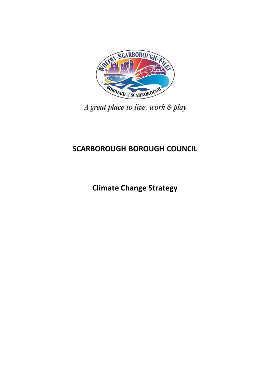

A great place to live, work & play

# **SCARBOROUGH BOROUGH COUNCIL**

**Climate Change Strategy**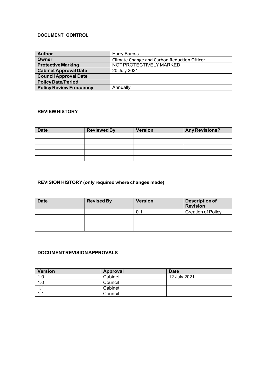# **DOCUMENT CONTROL**

| <b>Author</b>                  | <b>Harry Baross</b>                         |
|--------------------------------|---------------------------------------------|
| Owner                          | Climate Change and Carbon Reduction Officer |
| <b>Protective Marking</b>      | NOT PROTECTIVELY MARKED                     |
| <b>Cabinet Approval Date</b>   | 20 July 2021                                |
| <b>Council Approval Date</b>   |                                             |
| <b>Policy Date/Period</b>      |                                             |
| <b>Policy Review Frequency</b> | Annually                                    |

#### **REVIEW HISTORY**

| <b>Date</b> | <b>Reviewed By</b> | <b>Version</b> | <b>Any Revisions?</b> |
|-------------|--------------------|----------------|-----------------------|
|             |                    |                |                       |
|             |                    |                |                       |
|             |                    |                |                       |
|             |                    |                |                       |
|             |                    |                |                       |

# **REVISION HISTORY (only required where changes made)**

| <b>Date</b> | <b>Revised By</b> | <b>Version</b> | Description of<br><b>Revision</b> |
|-------------|-------------------|----------------|-----------------------------------|
|             |                   |                | <b>Creation of Policy</b>         |
|             |                   |                |                                   |
|             |                   |                |                                   |
|             |                   |                |                                   |

# **DOCUMENT REVISION APPROVALS**

| <b>Version</b>        | Approval | <b>Date</b>  |
|-----------------------|----------|--------------|
| 1.0                   | Cabinet  | 12 July 2021 |
| 1.0                   | Council  |              |
| 1.1                   | Cabinet  |              |
| 1 <sub>1</sub><br>. . | Council  |              |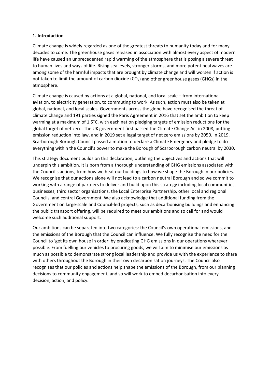### **1. Introduction**

 life have caused an unprecedented rapid warming of the atmosphere that is posing a severe threat among some of the harmful impacts that are brought by climate change and will worsen if action is Climate change is widely regarded as one of the greatest threats to humanity today and for many decades to come. The greenhouse gases released in association with almost every aspect of modern to human lives and ways of life. Rising sea levels, stronger storms, and more potent heatwaves are not taken to limit the amount of carbon dioxide ( $CO<sub>2</sub>$ ) and other greenhouse gases (GHGs) in the atmosphere.

Climate change is caused by actions at a global, national, and local scale – from international aviation, to electricity generation, to commuting to work. As such, action must also be taken at global, national, and local scales. Governments across the globe have recognised the threat of climate change and 191 parties signed the Paris Agreement in 2016 that set the ambition to keep warming at a maximum of 1.5°C, with each nation pledging targets of emission reductions for the global target of net zero. The UK government first passed the Climate Change Act in 2008, putting emission reduction into law, and in 2019 set a legal target of net zero emissions by 2050. In 2019, Scarborough Borough Council passed a motion to declare a Climate Emergency and pledge to do everything within the Council's power to make the Borough of Scarborough carbon neutral by 2030.

This strategy document builds on this declaration, outlining the objectives and actions that will underpin this ambition. It is born from a thorough understanding of GHG emissions associated with the Council's actions, from how we heat our buildings to how we shape the Borough in our policies. We recognise that our actions alone will not lead to a carbon neutral Borough and so we commit to working with a range of partners to deliver and build upon this strategy including local communities, businesses, third sector organisations, the Local Enterprise Partnership, other local and regional Councils, and central Government. We also acknowledge that additional funding from the Government on large‐scale and Council‐led projects, such as decarbonising buildings and enhancing the public transport offering, will be required to meet our ambitions and so call for and would welcome such additional support.

Our ambitions can be separated into two categories: the Council's own operational emissions, and the emissions of the Borough that the Council can influence. We fully recognise the need for the Council to 'get its own house in order' by eradicating GHG emissions in our operations wherever possible. From fuelling our vehicles to procuring goods, we will aim to minimise our emissions as much as possible to demonstrate strong local leadership and provide us with the experience to share with others throughout the Borough in their own decarbonisation journeys. The Council also recognises that our policies and actions help shape the emissions of the Borough, from our planning decisions to community engagement, and so will work to embed decarbonisation into every decision, action, and policy.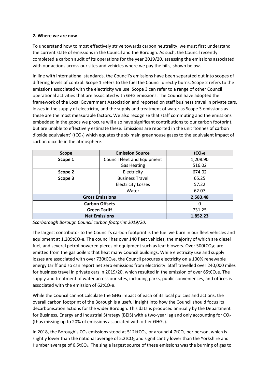### **2. Where we are now**

To understand how to most effectively strive towards carbon neutrality, we must first understand the current state of emissions in the Council and the Borough. As such, the Council recently completed a carbon audit of its operations for the year 2019/20, assessing the emissions associated with our actions across our sites and vehicles where we pay the bills, shown below.

 losses in the supply of electricity, and the supply and treatment of water as Scope 3 emissions as these are the most measurable factors. We also recognise that staff commuting and the emissions dioxide equivalent' (tCO<sub>2</sub>) which equates the six main greenhouse gases to the equivalent impact of In line with international standards, the Council's emissions have been separated out into scopes of differing levels of control. Scope 1 refers to the fuel the Council directly burns. Scope 2 refers to the emissions associated with the electricity we use. Scope 3 can refer to a range of other Council operational activities that are associated with GHG emissions. The Council have adopted the framework of the Local Government Association and reported on staff business travel in private cars, embedded in the goods we procure will also have significant contributions to our carbon footprint, but are unable to effectively estimate these. Emissions are reported in the unit 'tonnes of carbon carbon dioxide in the atmosphere.

| <b>Scope</b>          | <b>Emission Source</b>             | tCO <sub>2</sub> e |
|-----------------------|------------------------------------|--------------------|
| Scope 1               | <b>Council Fleet and Equipment</b> | 1,208.90           |
|                       | <b>Gas Heating</b>                 | 516.02             |
| Scope 2               | Electricity                        | 674.02             |
| Scope 3               | <b>Business Travel</b>             | 65.25              |
|                       | <b>Electricity Losses</b>          | 57.22              |
|                       | Water                              | 62.07              |
|                       | <b>Gross Emissions</b>             | 2,583.48           |
| <b>Carbon Offsets</b> |                                    | 0                  |
| <b>Green Tariff</b>   |                                    | 731.25             |
|                       | <b>Net Emissions</b>               | 1,852.23           |

*Scarborough Borough Council carbon footprint 2019/20.* 

 emitted from the gas boilers that heat many Council buildings. While electricity use and supply for business travel in private cars in 2019/20, which resulted in the emission of over 65tCO<sub>2</sub>e. The The largest contributor to the Council's carbon footprint is the fuel we burn in our fleet vehicles and equipment at  $1,209$ tCO<sub>2</sub>e. The council has over 140 fleet vehicles, the majority of which are diesel fuel, and several petrol powered pieces of equipment such as leaf blowers. Over  $500tCO_2e$  are losses are associated with over  $730tCO<sub>2</sub>e$ , the Council procures electricity on a 100% renewable energy tariff and so can report net zero emissions from electricity. Staff travelled over 240,000 miles supply and treatment of water across our sites, including parks, public conveniences, and offices is associated with the emission of  $62tCO<sub>2</sub>e$ .

 While the Council cannot calculate the GHG impact of each of its local policies and actions, the decarbonisation actions for the wider Borough. This data is produced annually by the Department for Business, Energy and Industrial Strategy (BEIS) with a two-year lag and only accounting for CO<sub>2</sub> overall carbon footprint of the Borough is a useful insight into how the Council should focus its (thus missing up to 20% of emissions associated with other GHGs).

In 2018, the Borough's  $CO<sub>2</sub>$  emissions stood at 512ktCO<sub>2</sub>, or around 4.7tCO<sub>2</sub> per person, which is slightly lower than the national average of  $5.2$ tCO<sub>2</sub> and significantly lower than the Yorkshire and Humber average of  $6.5tCO<sub>2</sub>$ . The single largest source of these emissions was the burning of gas to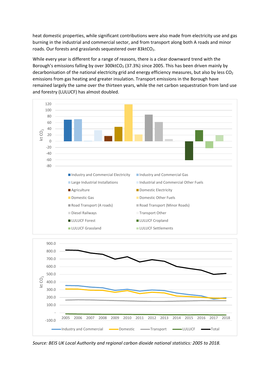heat domestic properties, while significant contributions were also made from electricity use and gas burning in the industrial and commercial sector, and from transport along both A roads and minor roads. Our forests and grasslands sequestered over 83ktCO<sub>2</sub>.

While every year is different for a range of reasons, there is a clear downward trend with the Borough's emissions falling by over  $300$ ktCO<sub>2</sub> (37.3%) since 2005. This has been driven mainly by decarbonisation of the national electricity grid and energy efficiency measures, but also by less  $CO<sub>2</sub>$ emissions from gas heating and greater insulation. Transport emissions in the Borough have remained largely the same over the thirteen years, while the net carbon sequestration from land use and forestry (LULUCF) has almost doubled.



*Source: BEIS UK Local Authority and regional carbon dioxide national statistics: 2005 to 2018.*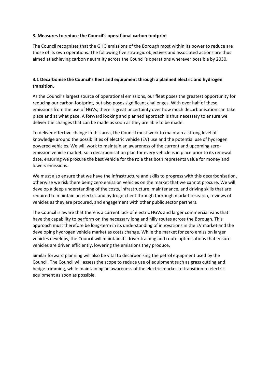### **3. Measures to reduce the Council's operational carbon footprint**

The Council recognises that the GHG emissions of the Borough most within its power to reduce are those of its own operations. The following five strategic objectives and associated actions are thus aimed at achieving carbon neutrality across the Council's operations wherever possible by 2030.

# **3.1 Decarbonise the Council's fleet and equipment through a planned electric and hydrogen transition.**

As the Council's largest source of operational emissions, our fleet poses the greatest opportunity for reducing our carbon footprint, but also poses significant challenges. With over half of these emissions from the use of HGVs, there is great uncertainty over how much decarbonisation can take place and at what pace. A forward looking and planned approach is thus necessary to ensure we deliver the changes that can be made as soon as they are able to be made.

To deliver effective change in this area, the Council must work to maintain a strong level of knowledge around the possibilities of electric vehicle (EV) use and the potential use of hydrogen powered vehicles. We will work to maintain an awareness of the current and upcoming zeroemission vehicle market, so a decarbonisation plan for every vehicle is in place prior to its renewal date, ensuring we procure the best vehicle for the role that both represents value for money and lowers emissions.

 required to maintain an electric and hydrogen fleet through thorough market research, reviews of We must also ensure that we have the infrastructure and skills to progress with this decarbonisation, otherwise we risk there being zero emission vehicles on the market that we cannot procure. We will develop a deep understanding of the costs, infrastructure, maintenance, and driving skills that are vehicles as they are procured, and engagement with other public sector partners.

The Council is aware that there is a current lack of electric HGVs and larger commercial vans that have the capability to perform on the necessary long and hilly routes across the Borough. This approach must therefore be long-term in its understanding of innovations in the EV market and the developing hydrogen vehicle market as costs change. While the market for zero emission larger vehicles develops, the Council will maintain its driver training and route optimisations that ensure vehicles are driven efficiently, lowering the emissions they produce.

Similar forward planning will also be vital to decarbonising the petrol equipment used by the Council. The Council will assess the scope to reduce use of equipment such as grass cutting and hedge trimming, while maintaining an awareness of the electric market to transition to electric equipment as soon as possible.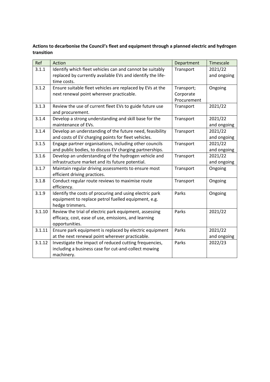# **Actions to decarbonise the Council's fleet and equipment through a planned electric and hydrogen transition**

| Ref    | Action                                                     | Department  | Timescale   |
|--------|------------------------------------------------------------|-------------|-------------|
| 3.1.1  | Identify which fleet vehicles can and cannot be suitably   | Transport   | 2021/22     |
|        | replaced by currently available EVs and identify the life- |             | and ongoing |
|        | time costs.                                                |             |             |
| 3.1.2  | Ensure suitable fleet vehicles are replaced by EVs at the  | Transport;  | Ongoing     |
|        | next renewal point wherever practicable.                   | Corporate   |             |
|        |                                                            | Procurement |             |
| 3.1.3  | Review the use of current fleet EVs to guide future use    | Transport   | 2021/22     |
|        | and procurement.                                           |             |             |
| 3.1.4  | Develop a strong understanding and skill base for the      | Transport   | 2021/22     |
|        | maintenance of EVs.                                        |             | and ongoing |
| 3.1.4  | Develop an understanding of the future need, feasibility   | Transport   | 2021/22     |
|        | and costs of EV charging points for fleet vehicles.        |             | and ongoing |
| 3.1.5  | Engage partner organisations, including other councils     | Transport   | 2021/22     |
|        | and public bodies, to discuss EV charging partnerships.    |             | and ongoing |
| 3.1.6  | Develop an understanding of the hydrogen vehicle and       | Transport   | 2021/22     |
|        | infrastructure market and its future potential.            |             | and ongoing |
| 3.1.7  | Maintain regular driving assessments to ensure most        | Transport   | Ongoing     |
|        | efficient driving practices.                               |             |             |
| 3.1.8  | Conduct regular route reviews to maximise route            | Transport   | Ongoing     |
|        | efficiency.                                                |             |             |
| 3.1.9  | Identify the costs of procuring and using electric park    | Parks       | Ongoing     |
|        | equipment to replace petrol fuelled equipment, e.g.        |             |             |
|        | hedge trimmers.                                            |             |             |
| 3.1.10 | Review the trial of electric park equipment, assessing     | Parks       | 2021/22     |
|        | efficacy, cost, ease of use, emissions, and learning       |             |             |
|        | opportunities.                                             |             |             |
| 3.1.11 | Ensure park equipment is replaced by electric equipment    | Parks       | 2021/22     |
|        | at the next renewal point wherever practicable.            |             | and ongoing |
| 3.1.12 | Investigate the impact of reduced cutting frequencies,     | Parks       | 2022/23     |
|        | including a business case for cut-and-collect mowing       |             |             |
|        | machinery.                                                 |             |             |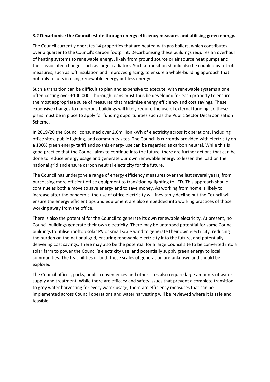### **3.2 Decarbonise the Council estate through energy efficiency measures and utilising green energy.**

The Council currently operates 14 properties that are heated with gas boilers, which contributes over a quarter to the Council's carbon footprint. Decarbonising these buildings requires an overhaul of heating systems to renewable energy, likely from ground source or air source heat pumps and their associated changes such as larger radiators. Such a transition should also be coupled by retrofit measures, such as loft insulation and improved glazing, to ensure a whole‐building approach that not only results in using renewable energy but less energy.

Such a transition can be difficult to plan and expensive to execute, with renewable systems alone often costing over £100,000. Thorough plans must thus be developed for each property to ensure the most appropriate suite of measures that maximise energy efficiency and cost savings. These expensive changes to numerous buildings will likely require the use of external funding, so these plans must be in place to apply for funding opportunities such as the Public Sector Decarbonisation Scheme.

 good practice that the Council aims to continue into the future, there are further actions that can be done to reduce energy usage and generate our own renewable energy to lessen the load on the In 2019/20 the Council consumed over 2.6million kWh of electricity across it operations, including office sites, public lighting, and community sites. The Council is currently provided with electricity on a 100% green energy tariff and so this energy use can be regarded as carbon neutral. While this is national grid and ensure carbon neutral electricity for the future.

The Council has undergone a range of energy efficiency measures over the last several years, from purchasing more efficient office equipment to transitioning lighting to LED. This approach should continue as both a move to save energy and to save money. As working from home is likely to increase after the pandemic, the use of office electricity will inevitably decline but the Council will ensure the energy efficient tips and equipment are also embedded into working practices of those working away from the office.

There is also the potential for the Council to generate its own renewable electricity. At present, no Council buildings generate their own electricity. There may be untapped potential for some Council buildings to utilise rooftop solar PV or small scale wind to generate their own electricity, reducing the burden on the national grid, ensuring renewable electricity into the future, and potentially delivering cost savings. There may also be the potential for a large Council site to be converted into a solar farm to power the Council's electricity use, and potentially supply green energy to local communities. The feasibilities of both these scales of generation are unknown and should be explored.

 to grey water harvesting for every water usage, there are efficiency measures that can be The Council offices, parks, public conveniences and other sites also require large amounts of water supply and treatment. While there are efficacy and safety issues that prevent a complete transition implemented across Council operations and water harvesting will be reviewed where it is safe and feasible.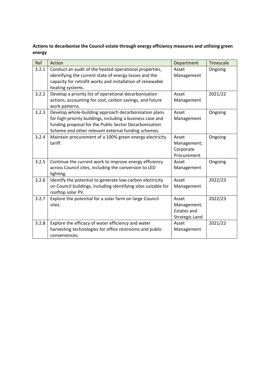**Actions to decarbonise the Council estate through energy efficiency measures and utilising green energy**

| Ref   | Action                                                                                                                                                                                                                               | Department                                                          | Timescale |
|-------|--------------------------------------------------------------------------------------------------------------------------------------------------------------------------------------------------------------------------------------|---------------------------------------------------------------------|-----------|
| 3.2.1 | Conduct an audit of the heated operational properties,<br>identifying the current state of energy losses and the<br>capacity for retrofit works and installation of renewable<br>heating systems.                                    | Asset<br>Management                                                 | Ongoing   |
| 3.2.2 | Develop a priority list of operational decarbonisation<br>actions, accounting for cost, carbon savings, and future<br>work patterns.                                                                                                 | Asset<br>Management                                                 | 2021/22   |
| 3.2.3 | Develop whole-building approach decarbonisation plans<br>for high-priority buildings, including a business case and<br>funding proposal for the Public Sector Decarbonisation<br>Scheme and other relevant external funding schemes. | Asset<br>Management                                                 | Ongoing   |
| 3.2.4 | Maintain procurement of a 100% green energy electricity<br>tariff.                                                                                                                                                                   | Asset<br>Management;<br>Corporate<br>Procurement                    | Ongoing   |
| 3.2.5 | Continue the current work to improve energy efficiency<br>across Council cites, including the conversion to LED<br>lighting.                                                                                                         | Asset<br>Management                                                 | Ongoing   |
| 3.2.6 | Identify the potential to generate low-carbon electricity<br>on Council buildings, including identifying sites suitable for<br>rooftop solar PV.                                                                                     | Asset<br>Management                                                 | 2022/23   |
| 3.2.7 | Explore the potential for a solar farm on large Council<br>sites.                                                                                                                                                                    | Asset<br>Management;<br><b>Estates and</b><br><b>Strategic Land</b> | 2022/23   |
| 3.2.8 | Explore the efficacy of water efficiency and water<br>harvesting technologies for office restrooms and public<br>conveniences.                                                                                                       | Asset<br>Management                                                 | 2021/22   |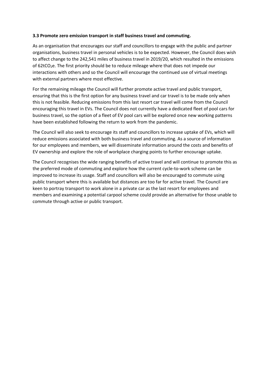### **3.3 Promote zero emission transport in staff business travel and commuting.**

As an organisation that encourages our staff and councillors to engage with the public and partner organisations, business travel in personal vehicles is to be expected. However, the Council does wish to affect change to the 242,541 miles of business travel in 2019/20, which resulted in the emissions of 62tCO2e. The first priority should be to reduce mileage where that does not impede our interactions with others and so the Council will encourage the continued use of virtual meetings with external partners where most effective.

 ensuring that this is the first option for any business travel and car travel is to be made only when For the remaining mileage the Council will further promote active travel and public transport, this is not feasible. Reducing emissions from this last resort car travel will come from the Council encouraging this travel in EVs. The Council does not currently have a dedicated fleet of pool cars for business travel, so the option of a fleet of EV pool cars will be explored once new working patterns have been established following the return to work from the pandemic.

 EV ownership and explore the role of workplace charging points to further encourage uptake. The Council will also seek to encourage its staff and councillors to increase uptake of EVs, which will reduce emissions associated with both business travel and commuting. As a source of information for our employees and members, we will disseminate information around the costs and benefits of

 the preferred mode of commuting and explore how the current cycle‐to‐work scheme can be members and examining a potential carpool scheme could provide an alternative for those unable to The Council recognises the wide ranging benefits of active travel and will continue to promote this as improved to increase its usage. Staff and councillors will also be encouraged to commute using public transport where this is available but distances are too far for active travel. The Council are keen to portray transport to work alone in a private car as the last resort for employees and commute through active or public transport.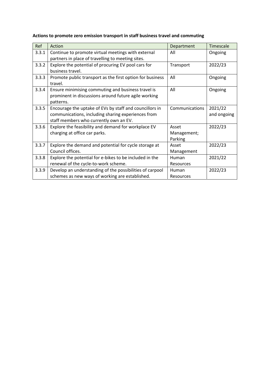| Ref   | Action                                                                                                                                                  | Department                      | Timescale              |
|-------|---------------------------------------------------------------------------------------------------------------------------------------------------------|---------------------------------|------------------------|
| 3.3.1 | Continue to promote virtual meetings with external<br>partners in place of travelling to meeting sites.                                                 | All                             | Ongoing                |
| 3.3.2 | Explore the potential of procuring EV pool cars for<br>business travel.                                                                                 | Transport                       | 2022/23                |
| 3.3.3 | Promote public transport as the first option for business<br>travel.                                                                                    | All                             | Ongoing                |
| 3.3.4 | Ensure minimising commuting and business travel is<br>prominent in discussions around future agile working<br>patterns.                                 | All                             | Ongoing                |
| 3.3.5 | Encourage the uptake of EVs by staff and councillors in<br>communications, including sharing experiences from<br>staff members who currently own an EV. | Communications                  | 2021/22<br>and ongoing |
| 3.3.6 | Explore the feasibility and demand for workplace EV<br>charging at office car parks.                                                                    | Asset<br>Management;<br>Parking | 2022/23                |
| 3.3.7 | Explore the demand and potential for cycle storage at<br>Council offices.                                                                               | Asset<br>Management             | 2022/23                |
| 3.3.8 | Explore the potential for e-bikes to be included in the<br>renewal of the cycle-to-work scheme.                                                         | <b>Human</b><br>Resources       | 2021/22                |
| 3.3.9 | Develop an understanding of the possibilities of carpool<br>schemes as new ways of working are established.                                             | Human<br>Resources              | 2022/23                |

# **Actions to promote zero emission transport in staff business travel and commuting**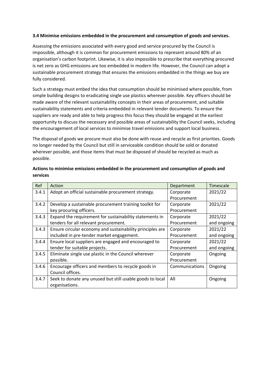# **3.4 Minimise emissions embedded in the procurement and consumption of goods and services.**

Assessing the emissions associated with every good and service procured by the Council is impossible, although it is common for procurement emissions to represent around 80% of an organisation's carbon footprint. Likewise, it is also impossible to prescribe that everything procured is net zero as GHG emissions are too embedded in modern life. However, the Council can adopt a sustainable procurement strategy that ensures the emissions embedded in the things we buy are fully considered.

 Such a strategy must embed the idea that consumption should be minimised where possible, from simple building designs to eradicating single use plastics wherever possible. Key officers should be made aware of the relevant sustainability concepts in their areas of procurement, and suitable sustainability statements and criteria embedded in relevant tender documents. To ensure the suppliers are ready and able to help progress this focus they should be engaged at the earliest opportunity to discuss the necessary and possible areas of sustainability the Council seeks, including the encouragement of local services to minimise travel emissions and support local business.

 The disposal of goods we procure must also be done with reuse and recycle as first priorities. Goods no longer needed by the Council but still in serviceable condition should be sold or donated wherever possible, and those items that must be disposed of should be recycled as much as possible.

| Ref   | Action                                                    | Department     | Timescale   |
|-------|-----------------------------------------------------------|----------------|-------------|
| 3.4.1 | Adopt an official sustainable procurement strategy.       | Corporate      | 2021/22     |
|       |                                                           | Procurement    |             |
| 3.4.2 | Develop a sustainable procurement training toolkit for    | Corporate      | 2021/22     |
|       | key procuring officers.                                   | Procurement    |             |
| 3.4.3 | Expand the requirement for sustainability statements in   | Corporate      | 2021/22     |
|       | tenders for all relevant procurement.                     | Procurement    | and ongoing |
| 3.4.3 | Ensure circular economy and sustainability principles are | Corporate      | 2021/22     |
|       | included in pre-tender market engagement.                 | Procurement    | and ongoing |
| 3.4.4 | Ensure local suppliers are engaged and encouraged to      | Corporate      | 2021/22     |
|       | tender for suitable projects.                             | Procurement    | and ongoing |
| 3.4.5 | Eliminate single use plastic in the Council wherever      | Corporate      | Ongoing     |
|       | possible.                                                 | Procurement    |             |
| 3.4.6 | Encourage officers and members to recycle goods in        | Communications | Ongoing     |
|       | Council offices.                                          |                |             |
| 3.4.7 | Seek to donate any unused but still usable goods to local | All            | Ongoing     |
|       | organisations.                                            |                |             |

# **Actions to minimise emissions embedded in the procurement and consumption of goods and services**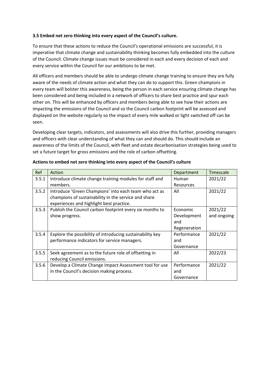### **3.5 Embed net zero thinking into every aspect of the Council's culture.**

To ensure that these actions to reduce the Council's operational emissions are successful, it is imperative that climate change and sustainability thinking becomes fully embedded into the culture of the Council. Climate change issues must be considered in each and every decision of each and every service within the Council for our ambitions to be met.

 been considered and being included in a network of officers to share best practice and spur each All officers and members should be able to undergo climate change training to ensure they are fully aware of the needs of climate action and what they can do to support this. Green champions in every team will bolster this awareness, being the person in each service ensuring climate change has other on. This will be enhanced by officers and members being able to see how their actions are impacting the emissions of the Council and so the Council carbon footprint will be assessed and displayed on the website regularly so the impact of every mile walked or light switched off can be seen.

Developing clear targets, indicators, and assessments will also drive this further, providing managers and officers with clear understanding of what they can and should do. This should include an awareness of the limits of the Council, with fleet and estate decarbonisation strategies being used to set a future target for gross emissions and the role of carbon offsetting.

| Ref   | Action                                                    | Department       | Timescale   |
|-------|-----------------------------------------------------------|------------------|-------------|
| 3.5.1 | Introduce climate change training modules for staff and   | Human            | 2021/22     |
|       | members.                                                  | <b>Resources</b> |             |
| 3.5.2 | Introduce 'Green Champions' into each team who act as     | All              | 2021/22     |
|       | champions of sustainability in the service and share      |                  |             |
|       | experiences and highlight best practice.                  |                  |             |
| 3.5.3 | Publish the Council carbon footprint every six months to  | Economic         | 2021/22     |
|       | show progress.                                            | Development      | and ongoing |
|       |                                                           | and              |             |
|       |                                                           | Regeneration     |             |
| 3.5.4 | Explore the possibility of introducing sustainability key | Performance      | 2021/22     |
|       | performance indicators for service managers.              | and              |             |
|       |                                                           | Governance       |             |
| 3.5.5 | Seek agreement as to the future role of offsetting in     | All              | 2022/23     |
|       | reducing Council emissions.                               |                  |             |
| 3.5.6 | Develop a Climate Change Impact Assessment tool for use   | Performance      | 2021/22     |
|       | in the Council's decision making process.                 | and              |             |
|       |                                                           | Governance       |             |

 **Actions to embed net zero thinking into every aspect of the Council's culture**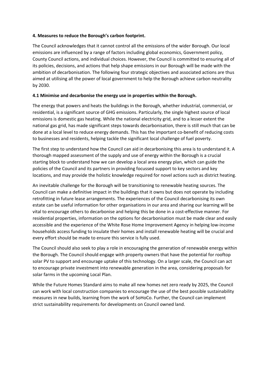### **4. Measures to reduce the Borough's carbon footprint.**

 The Council acknowledges that it cannot control all the emissions of the wider Borough. Our local emissions are influenced by a range of factors including global economics, Government policy, County Council actions, and individual choices. However, the Council is committed to ensuring all of its policies, decisions, and actions that help shape emissions in our Borough will be made with the ambition of decarbonisation. The following four strategic objectives and associated actions are thus aimed at utilising all the power of local government to help the Borough achieve carbon neutrality by 2030.

# **4.1 Minimise and decarbonise the energy use in properties within the Borough.**

 done at a local level to reduce energy demands. This has the important co‐benefit of reducing costs The energy that powers and heats the buildings in the Borough, whether industrial, commercial, or residential, is a significant source of GHG emissions. Particularly, the single highest source of local emissions is domestic gas heating. While the national electricity grid, and to a lesser extent the national gas grid, has made significant steps towards decarbonisation, there is still much that can be to businesses and residents, helping tackle the significant local challenge of fuel poverty.

The first step to understand how the Council can aid in decarbonising this area is to understand it. A thorough mapped assessment of the supply and use of energy within the Borough is a crucial starting block to understand how we can develop a local area energy plan, which can guide the policies of the Council and its partners in providing focussed support to key sectors and key locations, and may provide the holistic knowledge required for novel actions such as district heating.

 Council can make a definitive impact in the buildings that it owns but does not operate by including every effort should be made to ensure this service is fully used. An inevitable challenge for the Borough will be transitioning to renewable heating sources. The retrofitting in future lease arrangements. The experiences of the Council decarbonising its own estate can be useful information for other organisations in our area and sharing our learning will be vital to encourage others to decarbonise and helping this be done in a cost-effective manner. For residential properties, information on the options for decarbonisation must be made clear and easily accessible and the experience of the White Rose Home Improvement Agency in helping low‐income households access funding to insulate their homes and install renewable heating will be crucial and

The Council should also seek to play a role in encouraging the generation of renewable energy within the Borough. The Council should engage with property owners that have the potential for rooftop solar PV to support and encourage uptake of this technology. On a larger scale, the Council can act to encourage private investment into renewable generation in the area, considering proposals for solar farms in the upcoming Local Plan.

While the Future Homes Standard aims to make all new homes net zero ready by 2025, the Council can work with local construction companies to encourage the use of the best possible sustainability measures in new builds, learning from the work of SoHoCo. Further, the Council can implement strict sustainability requirements for developments on Council owned land.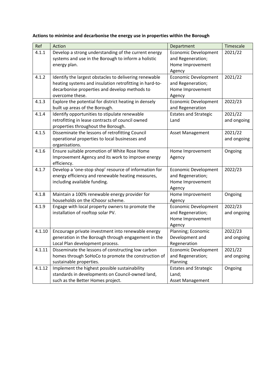| Ref    | Action                                                  | Department                   | Timescale   |
|--------|---------------------------------------------------------|------------------------------|-------------|
| 4.1.1  | Develop a strong understanding of the current energy    | <b>Economic Development</b>  | 2021/22     |
|        | systems and use in the Borough to inform a holistic     | and Regeneration;            |             |
|        | energy plan.                                            | Home Improvement             |             |
|        |                                                         | Agency                       |             |
| 4.1.2  | Identify the largest obstacles to delivering renewable  | <b>Economic Development</b>  | 2021/22     |
|        | heating systems and insulation retrofitting in hard-to- | and Regeneration;            |             |
|        | decarbonise properties and develop methods to           | Home Improvement             |             |
|        | overcome these.                                         | Agency                       |             |
| 4.1.3  | Explore the potential for district heating in densely   | <b>Economic Development</b>  | 2022/23     |
|        | built up areas of the Borough.                          | and Regeneration             |             |
| 4.1.4  | Identify opportunities to stipulate renewable           | <b>Estates and Strategic</b> | 2021/22     |
|        | retrofitting in lease contracts of council owned        | Land                         | and ongoing |
|        | properties throughout the Borough.                      |                              |             |
| 4.1.5  | Disseminate the lessons of retrofitting Council         | Asset Management             | 2021/22     |
|        | operational properties to local businesses and          |                              | and ongoing |
|        | organisations.                                          |                              |             |
| 4.1.6  | Ensure suitable promotion of White Rose Home            | Home Improvement             | Ongoing     |
|        | Improvement Agency and its work to improve energy       | Agency                       |             |
|        | efficiency.                                             |                              |             |
| 4.1.7  | Develop a 'one-stop shop' resource of information for   | <b>Economic Development</b>  | 2022/23     |
|        | energy efficiency and renewable heating measures,       | and Regeneration;            |             |
|        | including available funding.                            | Home Improvement             |             |
|        |                                                         | Agency                       |             |
| 4.1.8  | Maintain a 100% renewable energy provider for           | Home Improvement             | Ongoing     |
|        | households on the iChoosr scheme.                       | Agency                       |             |
| 4.1.9  | Engage with local property owners to promote the        | <b>Economic Development</b>  | 2022/23     |
|        | installation of rooftop solar PV.                       | and Regeneration;            | and ongoing |
|        |                                                         | Home Improvement             |             |
|        |                                                         | Agency                       |             |
| 4.1.10 | Encourage private investment into renewable energy      | Planning; Economic           | 2022/23     |
|        | generation in the Borough through engagement in the     | Development and              | and ongoing |
|        | Local Plan development process.                         | Regeneration                 |             |

Economic Development and Regeneration;

Estates and Strategic

Asset Management

2021/22 and ongoing

Ongoing

Planning

Land;

homes through SoHoCo to promote the construction of

standards in developments on Council‐owned land,

4.1.11 | Disseminate the lessons of constructing low carbon

such as the Better Homes project.

4.1.12 Implement the highest possible sustainability

sustainable properties.

# **Actions to minimise and decarbonise the energy use in properties within the Borough**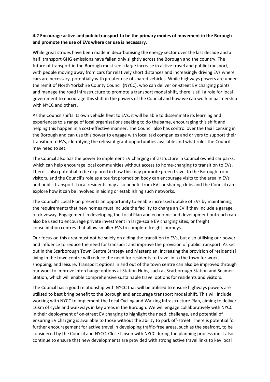# **4.2 Encourage active and public transport to be the primary modes of movement in the Borough and promote the use of EVs where car use is necessary.**

 cars are necessary, potentially with greater use of shared vehicles. While highways powers are under While great strides have been made in decarbonising the energy sector over the last decade and a half, transport GHG emissions have fallen only slightly across the Borough and the country. The future of transport in the Borough must see a large increase in active travel and public transport, with people moving away from cars for relatively short distances and increasingly driving EVs where the remit of North Yorkshire County Council (NYCC), who can deliver on‐street EV charging points and manage the road infrastructure to promote a transport modal shift, there is still a role for local government to encourage this shift in the powers of the Council and how we can work in partnership with NYCC and others.

As the Council shifts its own vehicle fleet to EVs, it will be able to disseminate its learning and experiences to a range of local organisations seeking to do the same, encouraging this shift and helping this happen in a cost-effective manner. The Council also has control over the taxi licensing in the Borough and can use this power to engage with local taxi companies and drivers to support their transition to EVs, identifying the relevant grant opportunities available and what rules the Council may need to set.

 and public transport. Local residents may also benefit from EV car sharing clubs and the Council can The Council also has the power to implement EV charging infrastructure in Council owned car parks, which can help encourage local communities without access to home-charging to transition to EVs. There is also potential to be explored in how this may promote green travel to the Borough from visitors, and the Council's role as a tourist promotion body can encourage visits to the area in EVs explore how it can be involved in aiding or establishing such networks.

The Council's Local Plan presents an opportunity to enable increased uptake of EVs by maintaining the requirements that new homes must include the facility to charge an EV if they include a garage or driveway. Engagement in developing the Local Plan and economic and development outreach can also be used to encourage private investment in large‐scale EV charging sites, or freight consolidation centres that allow smaller EVs to complete freight journeys.

 and influence to reduce the need for transport and improve the provision of public transport. As set Our focus on this area must not be solely on aiding the transition to EVs, but also utilising our power out in the Scarborough Town Centre Strategy and Masterplan, increasing the provision of residential living in the town centre will reduce the need for residents to travel in to the town for work, shopping, and leisure. Transport options in and out of the town centre can also be improved through our work to improve interchange options at Station Hubs, such as Scarborough Station and Seamer Station, which will enable comprehensive sustainable travel options for residents and visitors.

The Council has a good relationship with NYCC that will be utilised to ensure highways powers are utilised to best bring benefit to the Borough and encourage transport modal shift. This will include working with NYCC to implement the Local Cycling and Walking Infrastructure Plan, aiming to deliver 16km of cycle and walkways in key areas in the Borough. We will engage collaboratively with NYCC in their deployment of on‐street EV charging to highlight the need, challenge, and potential of ensuring EV charging is available to those without the ability to park off‐street. There is potential for further encouragement for active travel in developing traffic-free areas, such as the seafront, to be considered by the Council and NYCC. Close liaison with NYCC during the planning process must also continue to ensure that new developments are provided with strong active travel links to key local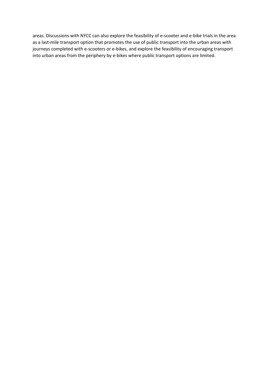areas. Discussions with NYCC can also explore the feasibility of e‐scooter and e‐bike trials in the area as a last-mile transport option that promotes the use of public transport into the urban areas with journeys completed with e-scooters or e-bikes, and explore the feasibility of encouraging transport into urban areas from the periphery by e‐bikes where public transport options are limited.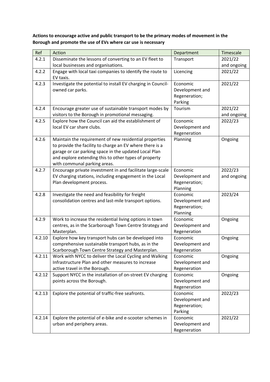**Actions to encourage active and public transport to be the primary modes of movement in the Borough and promote the use of EVs where car use is necessary**

| Ref    | Action                                                                                                         | Department      | Timescale   |
|--------|----------------------------------------------------------------------------------------------------------------|-----------------|-------------|
| 4.2.1  | Disseminate the lessons of converting to an EV fleet to                                                        | Transport       | 2021/22     |
|        | local businesses and organisations.                                                                            |                 | and ongoing |
| 4.2.2  | Engage with local taxi companies to identify the route to                                                      | Licencing       | 2021/22     |
|        | EV taxis.                                                                                                      |                 |             |
| 4.2.3  | Investigate the potential to install EV charging in Council-                                                   | Economic        | 2021/22     |
|        | owned car parks.                                                                                               | Development and |             |
|        |                                                                                                                | Regeneration;   |             |
|        |                                                                                                                | Parking         |             |
| 4.2.4  | Encourage greater use of sustainable transport modes by                                                        | Tourism         | 2021/22     |
|        | visitors to the Borough in promotional messaging.                                                              |                 | and ongoing |
| 4.2.5  | Explore how the Council can aid the establishment of                                                           | Economic        | 2022/23     |
|        | local EV car share clubs.                                                                                      | Development and |             |
|        |                                                                                                                | Regeneration    |             |
| 4.2.6  | Maintain the requirement of new residential properties                                                         | Planning        | Ongoing     |
|        | to provide the facility to charge an EV where there is a                                                       |                 |             |
|        | garage or car parking space in the updated Local Plan<br>and explore extending this to other types of property |                 |             |
|        | with communal parking areas.                                                                                   |                 |             |
| 4.2.7  | Encourage private investment in and facilitate large-scale                                                     | Economic        | 2022/23     |
|        | EV charging stations, including engagement in the Local                                                        | Development and | and ongoing |
|        | Plan development process.                                                                                      | Regeneration;   |             |
|        |                                                                                                                | Planning        |             |
| 4.2.8  | Investigate the need and feasibility for freight                                                               | Economic        | 2023/24     |
|        | consolidation centres and last-mile transport options.                                                         | Development and |             |
|        |                                                                                                                | Regeneration;   |             |
|        |                                                                                                                | Planning        |             |
| 4.2.9  | Work to increase the residential living options in town                                                        | Economic        | Ongoing     |
|        | centres, as in the Scarborough Town Centre Strategy and                                                        | Development and |             |
|        | Masterplan.                                                                                                    | Regeneration    |             |
| 4.2.10 | Explore how key transport hubs can be developed into                                                           | Economic        | Ongoing     |
|        | comprehensive sustainable transport hubs, as in the                                                            | Development and |             |
|        | Scarborough Town Centre Strategy and Masterplan.                                                               | Regeneration    |             |
| 4.2.11 | Work with NYCC to deliver the Local Cycling and Walking                                                        | Economic        | Ongoing     |
|        | Infrastructure Plan and other measures to increase                                                             | Development and |             |
|        | active travel in the Borough.                                                                                  | Regeneration    |             |
| 4.2.12 | Support NYCC in the installation of on-street EV charging                                                      | Economic        | Ongoing     |
|        | points across the Borough.                                                                                     | Development and |             |
|        |                                                                                                                | Regeneration    |             |
| 4.2.13 | Explore the potential of traffic-free seafronts.                                                               | Economic        | 2022/23     |
|        |                                                                                                                | Development and |             |
|        |                                                                                                                | Regeneration;   |             |
|        |                                                                                                                | Parking         |             |
| 4.2.14 | Explore the potential of e-bike and e-scooter schemes in                                                       | Economic        | 2021/22     |
|        | urban and periphery areas.                                                                                     | Development and |             |
|        |                                                                                                                | Regeneration    |             |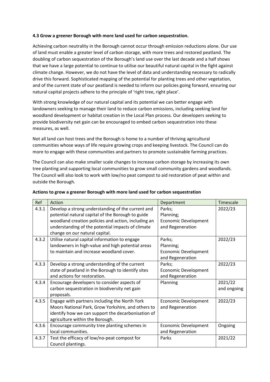# **4.3 Grow a greener Borough with more land used for carbon sequestration.**

 that we have a large potential to continue to utilise our beautiful natural capital in the fight against Achieving carbon neutrality in the Borough cannot occur through emission reductions alone. Our use of land must enable a greater level of carbon storage, with more trees and restored peatland. The doubling of carbon sequestration of the Borough's land use over the last decade and a half shows climate change. However, we do not have the level of data and understanding necessary to radically drive this forward. Sophisticated mapping of the potential for planting trees and other vegetation, and of the current state of our peatland is needed to inform our policies going forward, ensuring our natural capital projects adhere to the principle of 'right tree, right place'.

With strong knowledge of our natural capital and its potential we can better engage with landowners seeking to manage their land to reduce carbon emissions, including seeking land for woodland development or habitat creation in the Local Plan process. Our developers seeking to provide biodiversity net gain can be encouraged to embed carbon sequestration into these measures, as well.

 communities whose ways of life require growing crops and keeping livestock. The Council can do Not all land can host trees and the Borough is home to a number of thriving agricultural more to engage with these communities and partners to promote sustainable farming practices.

The Council can also make smaller scale changes to increase carbon storage by increasing its own tree planting and supporting local communities to grow small community gardens and woodlands. The Council will also look to work with low/no peat compost to aid restoration of peat within and outside the Borough.

| Ref   | Action                                                                                                                                                                                                                                               | Department                                                             | Timescale              |
|-------|------------------------------------------------------------------------------------------------------------------------------------------------------------------------------------------------------------------------------------------------------|------------------------------------------------------------------------|------------------------|
| 4.3.1 | Develop a strong understanding of the current and<br>potential natural capital of the Borough to guide<br>woodland creation policies and action, including an<br>understanding of the potential impacts of climate<br>change on our natural capital. | Parks;<br>Planning;<br><b>Economic Development</b><br>and Regeneration | 2022/23                |
| 4.3.2 | Utilise natural capital information to engage<br>landowners in high-value and high potential areas<br>to maintain and increase woodland cover.                                                                                                       | Parks;<br>Planning;<br><b>Economic Development</b><br>and Regeneration | 2022/23                |
| 4.3.3 | Develop a strong understanding of the current<br>state of peatland in the Borough to identify sites<br>and actions for restoration.                                                                                                                  | Parks;<br><b>Economic Development</b><br>and Regeneration              | 2022/23                |
| 4.3.4 | Encourage developers to consider aspects of<br>carbon sequestration in biodiversity net gain<br>proposals.                                                                                                                                           | Planning                                                               | 2021/22<br>and ongoing |
| 4.3.5 | Engage with partners including the North York<br>Moors National Park, Grow Yorkshire, and others to<br>identify how we can support the decarbonisation of<br>agriculture within the Borough.                                                         | <b>Economic Development</b><br>and Regeneration                        | 2022/23                |
| 4.3.6 | Encourage community tree planting schemes in<br>local communities.                                                                                                                                                                                   | <b>Economic Development</b><br>and Regeneration                        | Ongoing                |
| 4.3.7 | Test the efficacy of low/no-peat compost for<br>Council plantings.                                                                                                                                                                                   | Parks                                                                  | 2021/22                |

# **Actions to grow a greener Borough with more land used for carbon sequestration**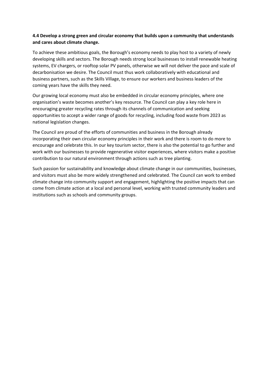# **4.4 Develop a strong green and circular economy that builds upon a community that understands and cares about climate change.**

To achieve these ambitious goals, the Borough's economy needs to play host to a variety of newly developing skills and sectors. The Borough needs strong local businesses to install renewable heating systems, EV chargers, or rooftop solar PV panels, otherwise we will not deliver the pace and scale of decarbonisation we desire. The Council must thus work collaboratively with educational and business partners, such as the Skills Village, to ensure our workers and business leaders of the coming years have the skills they need.

Our growing local economy must also be embedded in circular economy principles, where one organisation's waste becomes another's key resource. The Council can play a key role here in encouraging greater recycling rates through its channels of communication and seeking opportunities to accept a wider range of goods for recycling, including food waste from 2023 as national legislation changes.

The Council are proud of the efforts of communities and business in the Borough already incorporating their own circular economy principles in their work and there is room to do more to encourage and celebrate this. In our key tourism sector, there is also the potential to go further and work with our businesses to provide regenerative visitor experiences, where visitors make a positive contribution to our natural environment through actions such as tree planting.

Such passion for sustainability and knowledge about climate change in our communities, businesses, and visitors must also be more widely strengthened and celebrated. The Council can work to embed climate change into community support and engagement, highlighting the positive impacts that can come from climate action at a local and personal level, working with trusted community leaders and institutions such as schools and community groups.